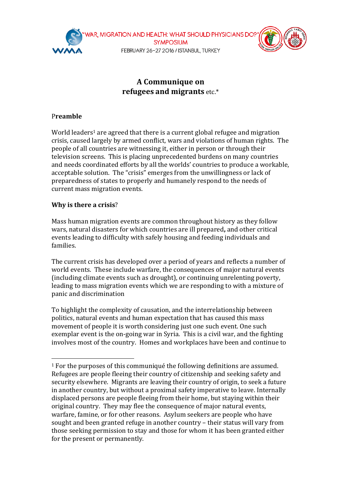

# **A** Communique on **refugees** and migrants etc.\*

# P**reamble**

World leaders<sup>1</sup> are agreed that there is a current global refugee and migration crisis, caused largely by armed conflict, wars and violations of human rights. The people of all countries are witnessing it, either in person or through their television screens. This is placing unprecedented burdens on many countries and needs coordinated efforts by all the worlds' countries to produce a workable, acceptable solution. The "crisis" emerges from the unwillingness or lack of preparedness of states to properly and humanely respond to the needs of current mass migration events.

# **Why is there a crisis?**

 

Mass human migration events are common throughout history as they follow wars, natural disasters for which countries are ill prepared, and other critical events leading to difficulty with safely housing and feeding individuals and families. 

The current crisis has developed over a period of years and reflects a number of world events. These include warfare, the consequences of major natural events (including climate events such as drought), or continuing unrelenting poverty, leading to mass migration events which we are responding to with a mixture of panic and discrimination

To highlight the complexity of causation, and the interrelationship between politics, natural events and human expectation that has caused this mass movement of people it is worth considering just one such event. One such exemplar event is the on-going war in Syria. This is a civil war, and the fighting involves most of the country. Homes and workplaces have been and continue to

 $1$  For the purposes of this communiqué the following definitions are assumed. Refugees are people fleeing their country of citizenship and seeking safety and security elsewhere. Migrants are leaving their country of origin, to seek a future in another country, but without a proximal safety imperative to leave. Internally displaced persons are people fleeing from their home, but staying within their original country. They may flee the consequence of major natural events, warfare, famine, or for other reasons. Asylum seekers are people who have sought and been granted refuge in another country – their status will vary from those seeking permission to stay and those for whom it has been granted either for the present or permanently.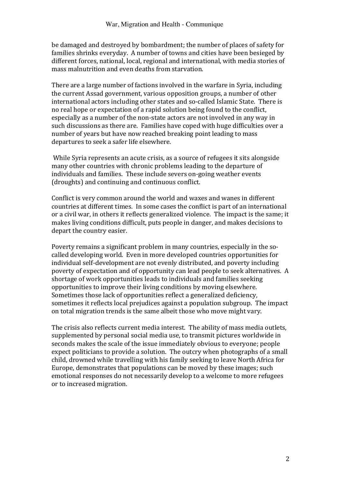be damaged and destroyed by bombardment; the number of places of safety for families shrinks everyday. A number of towns and cities have been besieged by different forces, national, local, regional and international, with media stories of mass malnutrition and even deaths from starvation.

There are a large number of factions involved in the warfare in Syria, including the current Assad government, various opposition groups, a number of other international actors including other states and so-called Islamic State. There is no real hope or expectation of a rapid solution being found to the conflict, especially as a number of the non-state actors are not involved in any way in such discussions as there are. Families have coped with huge difficulties over a number of years but have now reached breaking point leading to mass departures to seek a safer life elsewhere.

While Syria represents an acute crisis, as a source of refugees it sits alongside many other countries with chronic problems leading to the departure of individuals and families. These include severs on-going weather events (droughts) and continuing and continuous conflict.

Conflict is very common around the world and waxes and wanes in different countries at different times. In some cases the conflict is part of an international or a civil war, in others it reflects generalized violence. The impact is the same; it makes living conditions difficult, puts people in danger, and makes decisions to depart the country easier.

Poverty remains a significant problem in many countries, especially in the socalled developing world. Even in more developed countries opportunities for individual self-development are not evenly distributed, and poverty including poverty of expectation and of opportunity can lead people to seek alternatives. A shortage of work opportunities leads to individuals and families seeking opportunities to improve their living conditions by moving elsewhere. Sometimes those lack of opportunities reflect a generalized deficiency, sometimes it reflects local prejudices against a population subgroup. The impact on total migration trends is the same albeit those who move might vary.

The crisis also reflects current media interest. The ability of mass media outlets, supplemented by personal social media use, to transmit pictures worldwide in seconds makes the scale of the issue immediately obvious to everyone; people expect politicians to provide a solution. The outcry when photographs of a small child, drowned while travelling with his family seeking to leave North Africa for Europe, demonstrates that populations can be moved by these images; such emotional responses do not necessarily develop to a welcome to more refugees or to increased migration.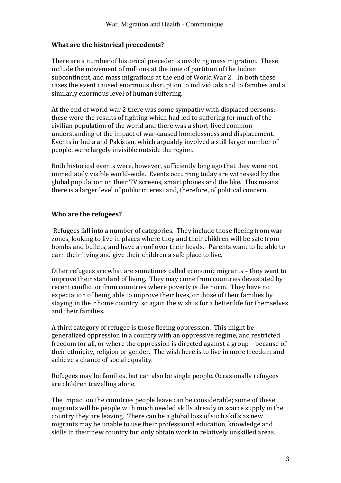### **What are the historical precedents?**

There are a number of historical precedents involving mass migration. These include the movement of millions at the time of partition of the Indian subcontinent, and mass migrations at the end of World War 2. In both these cases the event caused enormous disruption to individuals and to families and a similarly enormous level of human suffering.

At the end of world war 2 there was some sympathy with displaced persons; these were the results of fighting which had led to suffering for much of the civilian population of the world and there was a short-lived common understanding of the impact of war-caused homelessness and displacement. Events in India and Pakistan, which arguably involved a still larger number of people, were largely invisible outside the region.

Both historical events were, however, sufficiently long ago that they were not immediately visible world-wide. Events occurring today are witnessed by the global population on their TV screens, smart phones and the like. This means there is a larger level of public interest and, therefore, of political concern.

# **Who are the refugees?**

Refugees fall into a number of categories. They include those fleeing from war zones, looking to live in places where they and their children will be safe from bombs and bullets, and have a roof over their heads. Parents want to be able to earn their living and give their children a safe place to live.

Other refugees are what are sometimes called economic migrants – they want to improve their standard of living. They may come from countries devastated by recent conflict or from countries where poverty is the norm. They have no expectation of being able to improve their lives, or those of their families by staying in their home country, so again the wish is for a better life for themselves and their families.

A third category of refugee is those fleeing oppression. This might be generalized oppression in a country with an oppressive regime, and restricted freedom for all, or where the oppression is directed against a group – because of their ethnicity, religion or gender. The wish here is to live in more freedom and achieve a chance of social equality.

Refugees may be families, but can also be single people. Occasionally refugees are children travelling alone.

The impact on the countries people leave can be considerable; some of these migrants will be people with much needed skills already in scarce supply in the country they are leaving. There can be a global loss of such skills as new migrants may be unable to use their professional education, knowledge and skills in their new country but only obtain work in relatively unskilled areas.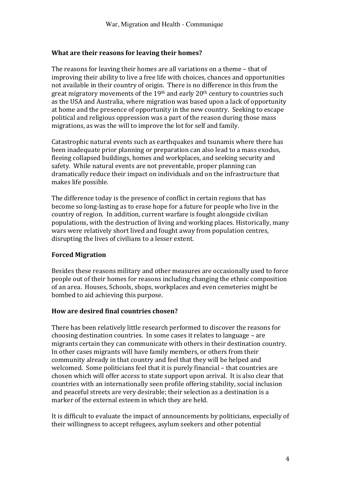### **What are their reasons for leaving their homes?**

The reasons for leaving their homes are all variations on a theme – that of improving their ability to live a free life with choices, chances and opportunities not available in their country of origin. There is no difference in this from the great migratory movements of the 19<sup>th</sup> and early  $20<sup>th</sup>$  century to countries such as the USA and Australia, where migration was based upon a lack of opportunity at home and the presence of opportunity in the new country. Seeking to escape political and religious oppression was a part of the reason during those mass migrations, as was the will to improve the lot for self and family.

Catastrophic natural events such as earthquakes and tsunamis where there has been inadequate prior planning or preparation can also lead to a mass exodus, fleeing collapsed buildings, homes and workplaces, and seeking security and safety. While natural events are not preventable, proper planning can dramatically reduce their impact on individuals and on the infrastructure that makes life possible.

The difference today is the presence of conflict in certain regions that has become so long-lasting as to erase hope for a future for people who live in the country of region. In addition, current warfare is fought alongside civilian populations, with the destruction of living and working places. Historically, many wars were relatively short lived and fought away from population centres, disrupting the lives of civilians to a lesser extent.

### **Forced Migration**

Besides these reasons military and other measures are occasionally used to force people out of their homes for reasons including changing the ethnic composition of an area. Houses, Schools, shops, workplaces and even cemeteries might be bombed to aid achieving this purpose.

#### **How are desired final countries chosen?**

There has been relatively little research performed to discover the reasons for choosing destination countries. In some cases it relates to language - are migrants certain they can communicate with others in their destination country. In other cases migrants will have family members, or others from their community already in that country and feel that they will be helped and welcomed. Some politicians feel that it is purely financial – that countries are chosen which will offer access to state support upon arrival. It is also clear that countries with an internationally seen profile offering stability, social inclusion and peaceful streets are very desirable; their selection as a destination is a marker of the external esteem in which they are held.

It is difficult to evaluate the impact of announcements by politicians, especially of their willingness to accept refugees, asylum seekers and other potential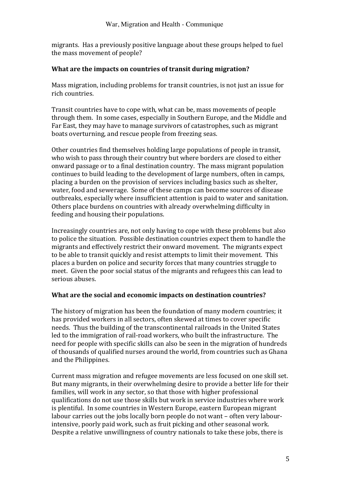migrants. Has a previously positive language about these groups helped to fuel the mass movement of people?

# **What are the impacts on countries of transit during migration?**

Mass migration, including problems for transit countries, is not just an issue for rich countries.

Transit countries have to cope with, what can be, mass movements of people through them. In some cases, especially in Southern Europe, and the Middle and Far East, they may have to manage survivors of catastrophes, such as migrant boats overturning, and rescue people from freezing seas.

Other countries find themselves holding large populations of people in transit, who wish to pass through their country but where borders are closed to either onward passage or to a final destination country. The mass migrant population continues to build leading to the development of large numbers, often in camps, placing a burden on the provision of services including basics such as shelter, water, food and sewerage. Some of these camps can become sources of disease outbreaks, especially where insufficient attention is paid to water and sanitation. Others place burdens on countries with already overwhelming difficulty in feeding and housing their populations.

Increasingly countries are, not only having to cope with these problems but also to police the situation. Possible destination countries expect them to handle the migrants and effectively restrict their onward movement. The migrants expect to be able to transit quickly and resist attempts to limit their movement. This places a burden on police and security forces that many countries struggle to meet. Given the poor social status of the migrants and refugees this can lead to serious abuses.

# **What are the social and economic impacts on destination countries?**

The history of migration has been the foundation of many modern countries; it has provided workers in all sectors, often skewed at times to cover specific needs. Thus the building of the transcontinental railroads in the United States led to the immigration of rail-road workers, who built the infrastructure. The need for people with specific skills can also be seen in the migration of hundreds of thousands of qualified nurses around the world, from countries such as Ghana and the Philippines.

Current mass migration and refugee movements are less focused on one skill set. But many migrants, in their overwhelming desire to provide a better life for their families, will work in any sector, so that those with higher professional qualifications do not use those skills but work in service industries where work is plentiful. In some countries in Western Europe, eastern European migrant labour carries out the jobs locally born people do not want - often very labourintensive, poorly paid work, such as fruit picking and other seasonal work. Despite a relative unwillingness of country nationals to take these jobs, there is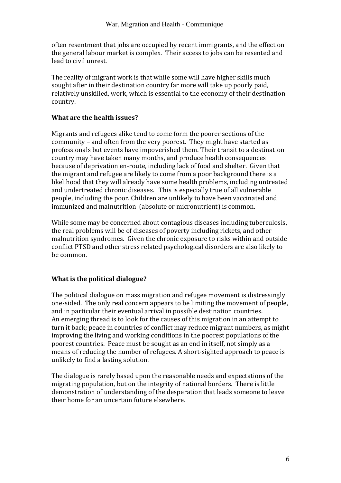often resentment that jobs are occupied by recent immigrants, and the effect on the general labour market is complex. Their access to jobs can be resented and lead to civil unrest.

The reality of migrant work is that while some will have higher skills much sought after in their destination country far more will take up poorly paid, relatively unskilled, work, which is essential to the economy of their destination country.

# **What are the health issues?**

Migrants and refugees alike tend to come form the poorer sections of the community – and often from the very poorest. They might have started as professionals but events have impoverished them. Their transit to a destination country may have taken many months, and produce health consequences because of deprivation en-route, including lack of food and shelter. Given that the migrant and refugee are likely to come from a poor background there is a likelihood that they will already have some health problems, including untreated and undertreated chronic diseases. This is especially true of all vulnerable people, including the poor. Children are unlikely to have been vaccinated and immunized and malnutrition (absolute or micronutrient) is common.

While some may be concerned about contagious diseases including tuberculosis, the real problems will be of diseases of poverty including rickets, and other malnutrition syndromes. Given the chronic exposure to risks within and outside conflict PTSD and other stress related psychological disorders are also likely to be common.

# **What is the political dialogue?**

The political dialogue on mass migration and refugee movement is distressingly one-sided. The only real concern appears to be limiting the movement of people, and in particular their eventual arrival in possible destination countries. An emerging thread is to look for the causes of this migration in an attempt to turn it back; peace in countries of conflict may reduce migrant numbers, as might improving the living and working conditions in the poorest populations of the poorest countries. Peace must be sought as an end in itself, not simply as a means of reducing the number of refugees. A short-sighted approach to peace is unlikely to find a lasting solution.

The dialogue is rarely based upon the reasonable needs and expectations of the migrating population, but on the integrity of national borders. There is little demonstration of understanding of the desperation that leads someone to leave their home for an uncertain future elsewhere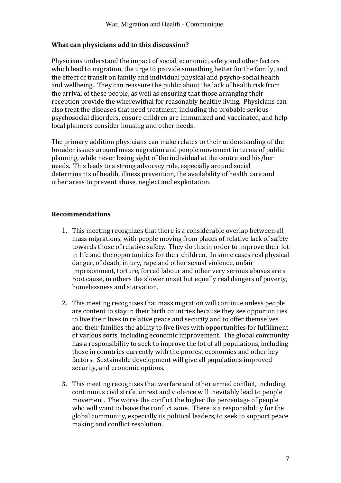### **What can physicians add to this discussion?**

Physicians understand the impact of social, economic, safety and other factors which lead to migration, the urge to provide something better for the family, and the effect of transit on family and individual physical and psycho-social health and wellbeing. They can reassure the public about the lack of health risk from the arrival of these people, as well as ensuring that those arranging their reception provide the wherewithal for reasonably healthy living. Physicians can also treat the diseases that need treatment, including the probable serious psychosocial disorders, ensure children are immunized and vaccinated, and help local planners consider housing and other needs.

The primary addition physicians can make relates to their understanding of the broader issues around mass migration and people movement in terms of public planning, while never losing sight of the individual at the centre and his/her needs. This leads to a strong advocacy role, especially around social determinants of health, illness prevention, the availability of health care and other areas to prevent abuse, neglect and exploitation.

# **Recommendations**

- 1. This meeting recognizes that there is a considerable overlap between all mass migrations, with people moving from places of relative lack of safety towards those of relative safety. They do this in order to improve their lot in life and the opportunities for their children. In some cases real physical danger, of death, injury, rape and other sexual violence, unfair imprisonment, torture, forced labour and other very serious abuses are a root cause, in others the slower onset but equally real dangers of poverty, homelessness and starvation.
- 2. This meeting recognizes that mass migration will continue unless people are content to stay in their birth countries because they see opportunities to live their lives in relative peace and security and to offer themselves and their families the ability to live lives with opportunities for fulfillment of various sorts, including economic improvement. The global community has a responsibility to seek to improve the lot of all populations, including those in countries currently with the poorest economies and other key factors. Sustainable development will give all populations improved security, and economic options.
- 3. This meeting recognizes that warfare and other armed conflict, including continuous civil strife, unrest and violence will inevitably lead to people movement. The worse the conflict the higher the percentage of people who will want to leave the conflict zone. There is a responsibility for the global community, especially its political leaders, to seek to support peace making and conflict resolution.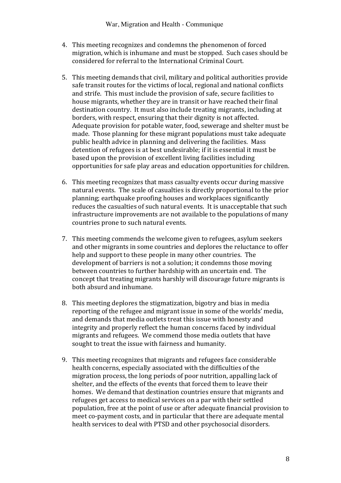- 4. This meeting recognizes and condemns the phenomenon of forced migration, which is inhumane and must be stopped. Such cases should be considered for referral to the International Criminal Court.
- 5. This meeting demands that civil, military and political authorities provide safe transit routes for the victims of local, regional and national conflicts and strife. This must include the provision of safe, secure facilities to house migrants, whether they are in transit or have reached their final destination country. It must also include treating migrants, including at borders, with respect, ensuring that their dignity is not affected. Adequate provision for potable water, food, sewerage and shelter must be made. Those planning for these migrant populations must take adequate public health advice in planning and delivering the facilities. Mass detention of refugees is at best undesirable; if it is essential it must be based upon the provision of excellent living facilities including opportunities for safe play areas and education opportunities for children.
- 6. This meeting recognizes that mass casualty events occur during massive natural events. The scale of casualties is directly proportional to the prior planning; earthquake proofing houses and workplaces significantly reduces the casualties of such natural events. It is unacceptable that such infrastructure improvements are not available to the populations of many countries prone to such natural events.
- 7. This meeting commends the welcome given to refugees, asylum seekers and other migrants in some countries and deplores the reluctance to offer help and support to these people in many other countries. The development of barriers is not a solution; it condemns those moving between countries to further hardship with an uncertain end. The concept that treating migrants harshly will discourage future migrants is both absurd and inhumane.
- 8. This meeting deplores the stigmatization, bigotry and bias in media reporting of the refugee and migrant issue in some of the worlds' media, and demands that media outlets treat this issue with honesty and integrity and properly reflect the human concerns faced by individual migrants and refugees. We commend those media outlets that have sought to treat the issue with fairness and humanity.
- 9. This meeting recognizes that migrants and refugees face considerable health concerns, especially associated with the difficulties of the migration process, the long periods of poor nutrition, appalling lack of shelter, and the effects of the events that forced them to leave their homes. We demand that destination countries ensure that migrants and refugees get access to medical services on a par with their settled population, free at the point of use or after adequate financial provision to meet co-payment costs, and in particular that there are adequate mental health services to deal with PTSD and other psychosocial disorders.